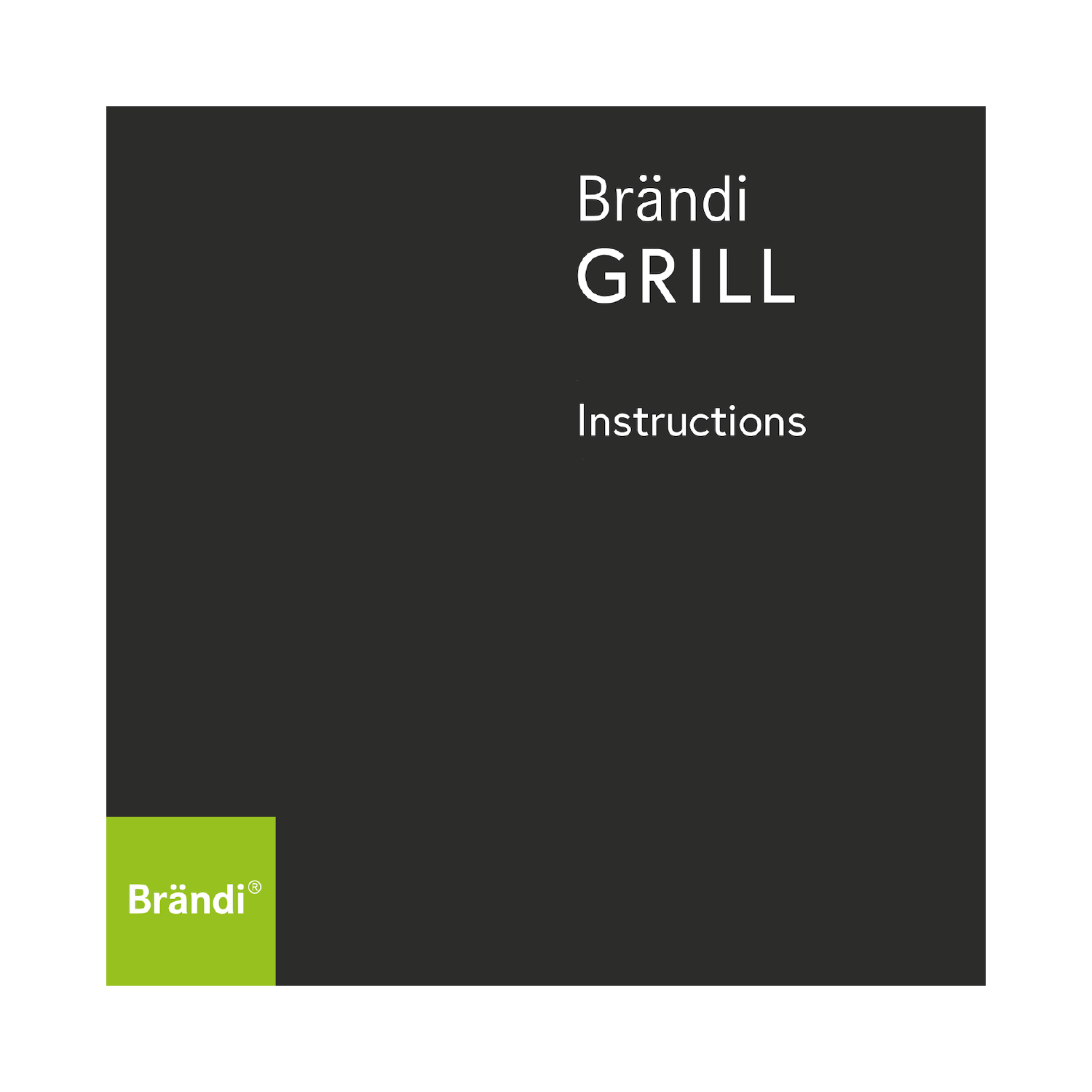# **Brändi** GRILL

# Instructions

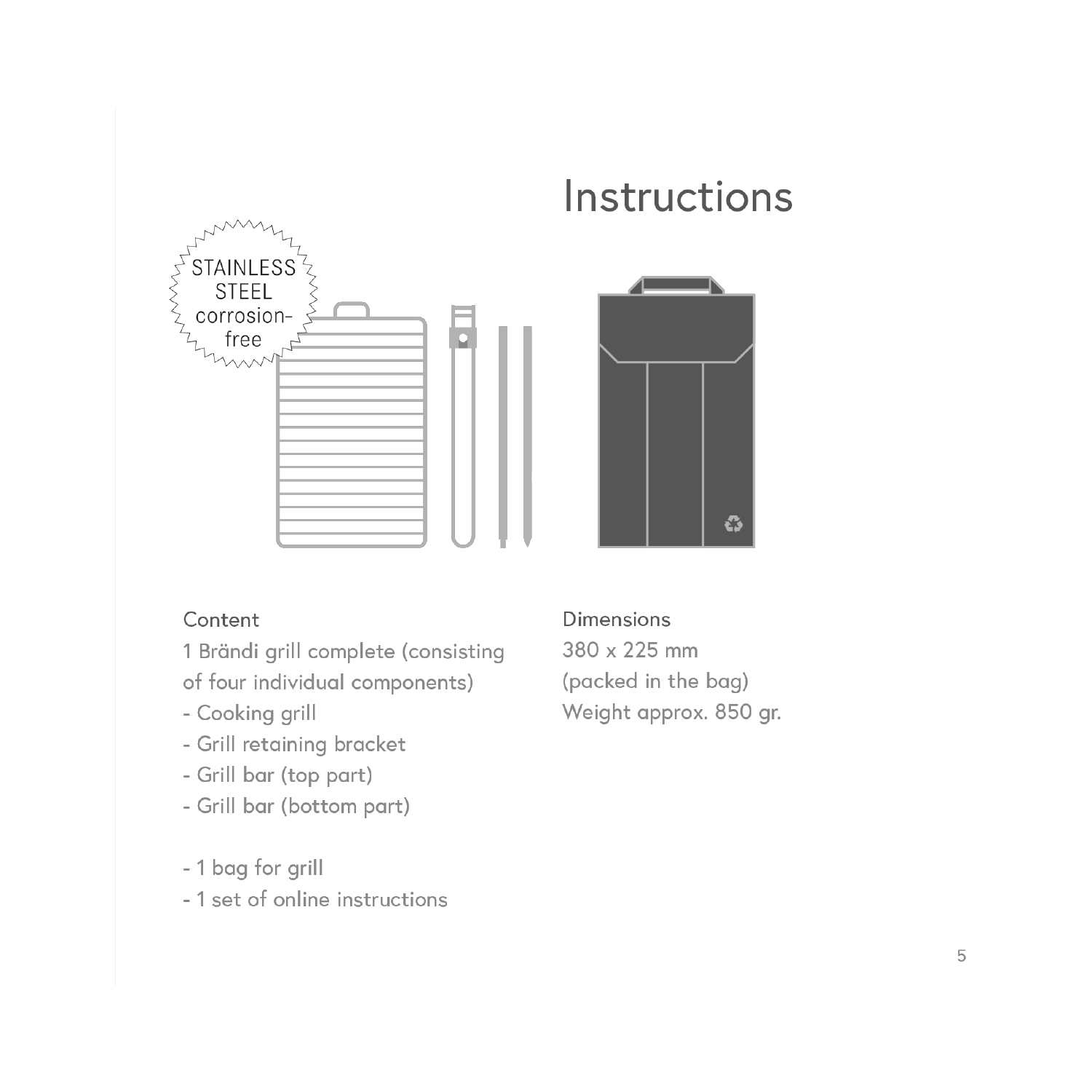

# Instructions



#### Content

1 Brändi grill complete (consisting of four individual components)

- Cooking grill
- Grill retaining bracket
- Grill bar (top part)
- Grill bar (bottom part)
- 1 bag for grill
- 1 set of online instructions

Dimensions 380 x 225 mm (packed in the bag) Weight approx. 850 gr.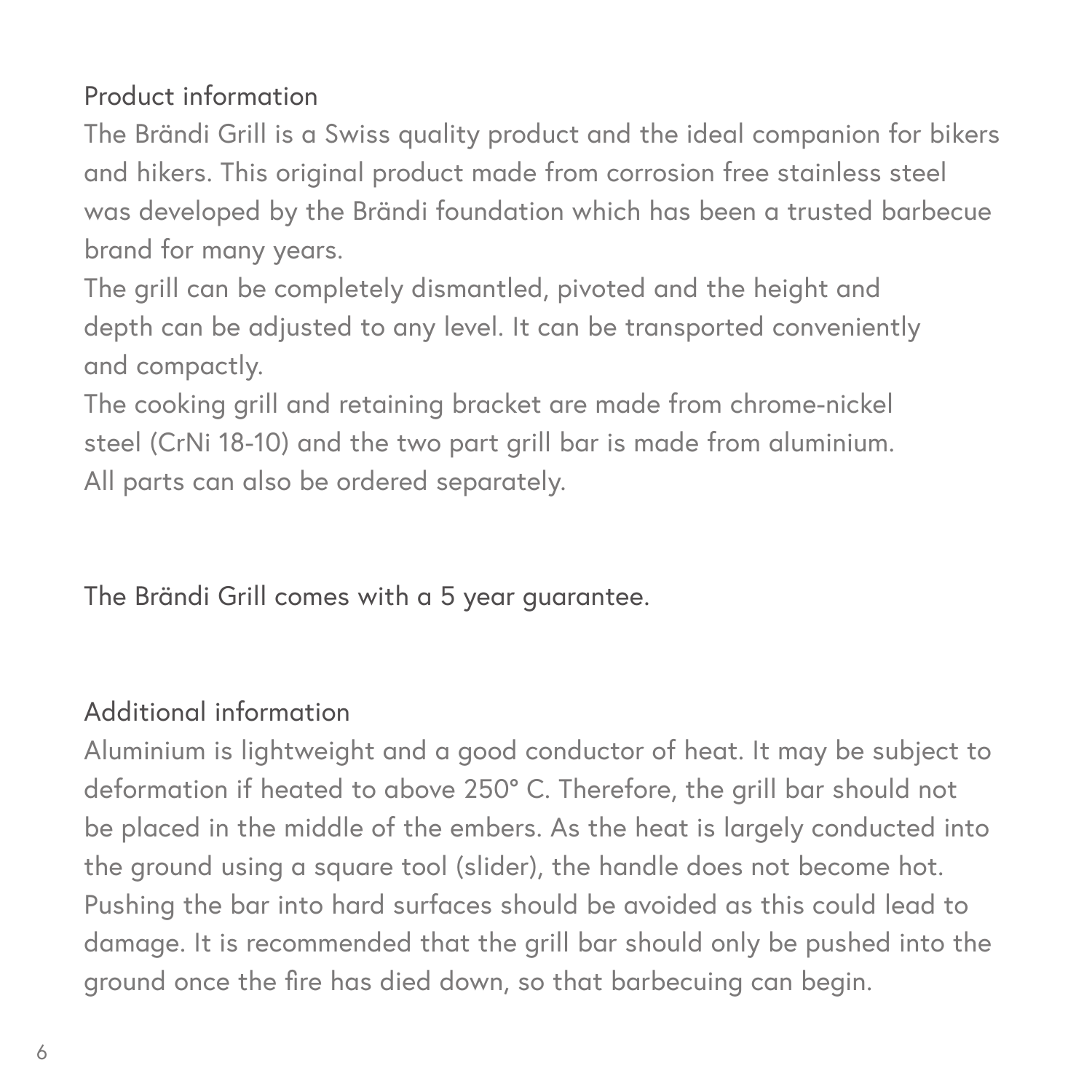## Product information

The Brändi Grill is a Swiss quality product and the ideal companion for bikers and hikers. This original product made from corrosion free stainless steel was developed by the Brändi foundation which has been a trusted barbecue brand for many years.

The grill can be completely dismantled, pivoted and the height and depth can be adjusted to any level. It can be transported conveniently and compactly.

The cooking grill and retaining bracket are made from chrome-nickel steel (CrNi 18-10) and the two part grill bar is made from aluminium. All parts can also be ordered separately.

The Brändi Grill comes with a 5 year guarantee.

## Additional information

Aluminium is lightweight and a good conductor of heat. It may be subject to deformation if heated to above 250° C. Therefore, the grill bar should not be placed in the middle of the embers. As the heat is largely conducted into the ground using a square tool (slider), the handle does not become hot. Pushing the bar into hard surfaces should be avoided as this could lead to damage. It is recommended that the grill bar should only be pushed into the ground once the fire has died down, so that barbecuing can begin.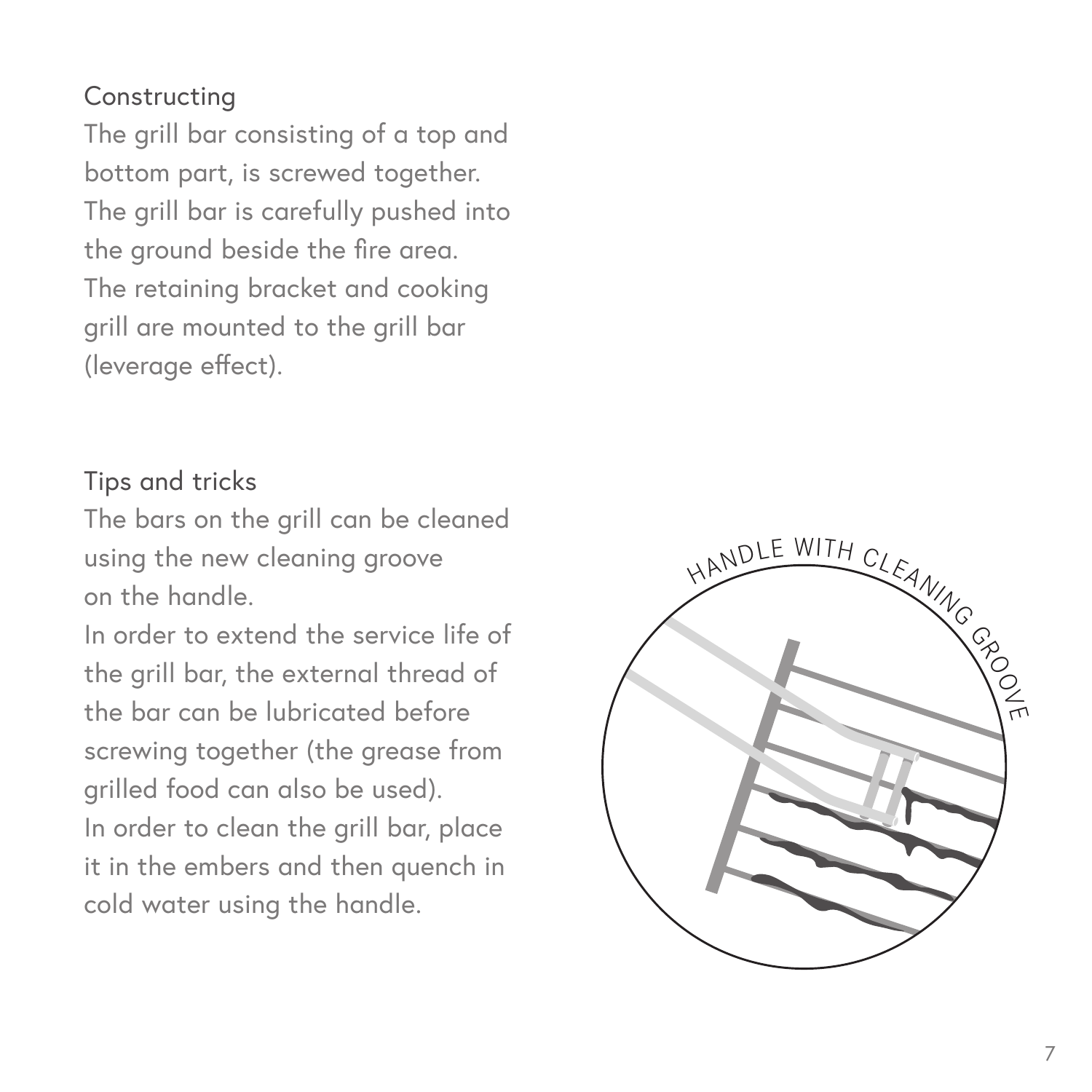### Constructing

The grill bar consisting of a top and bottom part, is screwed together. The grill bar is carefully pushed into the ground beside the fire area. The retaining bracket and cooking grill are mounted to the grill bar (leverage effect).

#### Tips and tricks

The bars on the grill can be cleaned using the new cleaning groove on the handle.

In order to extend the service life of the grill bar, the external thread of the bar can be lubricated before screwing together (the grease from grilled food can also be used). In order to clean the grill bar, place it in the embers and then quench in cold water using the handle.

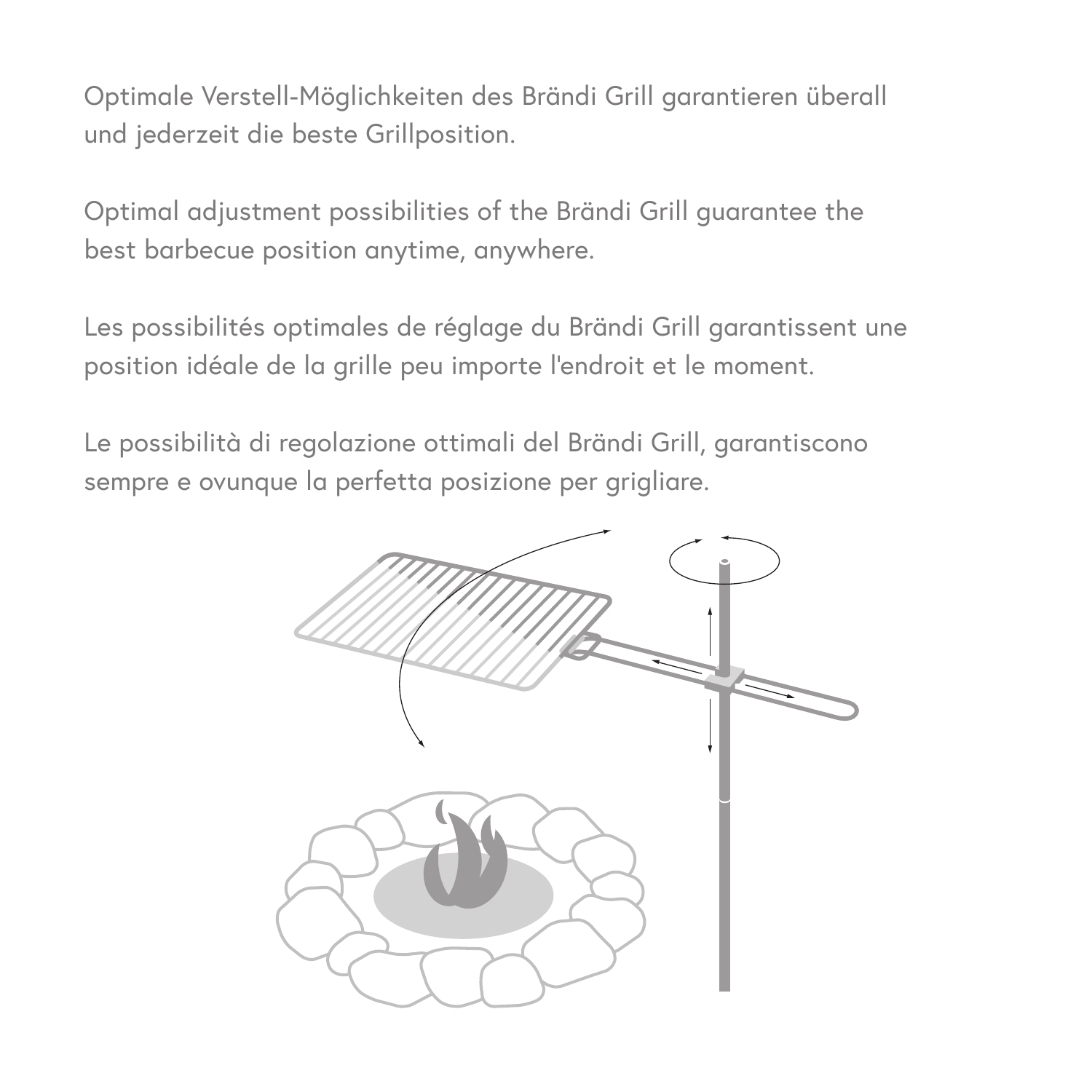Optimale Verstell-Möglichkeiten des Brändi Grill garantieren überall und jederzeit die beste Grillposition.

Optimal adjustment possibilities of the Brändi Grill guarantee the best barbecue position anytime, anywhere.

Les possibilités optimales de réglage du Brändi Grill garantissent une position idéale de la grille peu importe l'endroit et le moment.

Le possibilità di regolazione ottimali del Brändi Grill, garantiscono sempre e ovunque la perfetta posizione per grigliare.